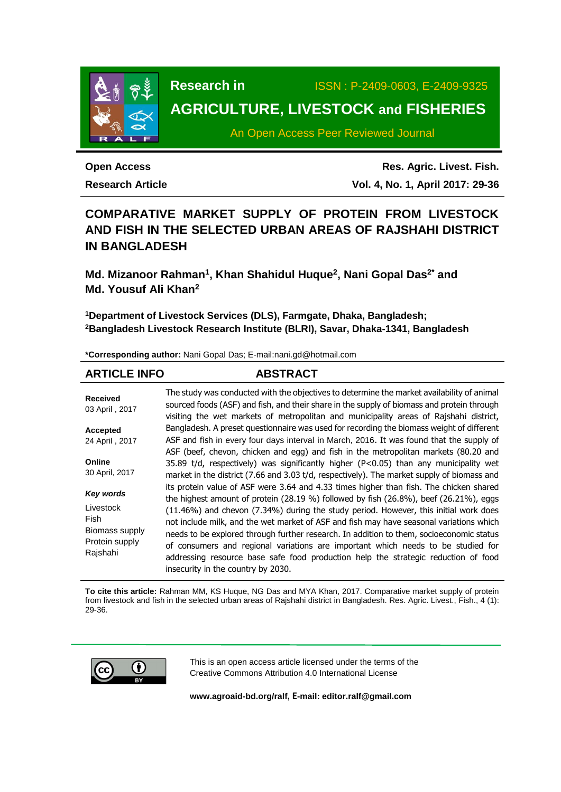

**Research in** ISSN : P-2409-0603, E-2409-9325

# **AGRICULTURE, LIVESTOCK and FISHERIES**

An Open Access Peer Reviewed Journal

# **Open Access**

**Research Article**

**Res. Agric. Livest. Fish. Vol. 4, No. 1, April 2017: 29-36**

# **COMPARATIVE MARKET SUPPLY OF PROTEIN FROM LIVESTOCK AND FISH IN THE SELECTED URBAN AREAS OF RAJSHAHI DISTRICT IN BANGLADESH**

**Md. Mizanoor Rahman<sup>1</sup> , Khan Shahidul Huque<sup>2</sup> , Nani Gopal Das2\* and Md. Yousuf Ali Khan<sup>2</sup>**

**<sup>1</sup>Department of Livestock Services (DLS), Farmgate, Dhaka, Bangladesh; <sup>2</sup>Bangladesh Livestock Research Institute (BLRI), Savar, Dhaka-1341, Bangladesh**

**\*Corresponding author:** Nani Gopal Das; E-mail[:nani.gd@hotmail.com](mailto:nani.gd@hotmail.com)

# **ARTICLE INFO ABSTRACT**

**Received** 03 April , 2017 **Accepted** 24 April , 2017 **Online** 30 April, 2017 *Key words* Livestock Fish Biomass supply Protein supply Rajshahi The study was conducted with the objectives to determine the market availability of animal sourced foods (ASF) and fish, and their share in the supply of biomass and protein through visiting the wet markets of metropolitan and municipality areas of Rajshahi district, Bangladesh. A preset questionnaire was used for recording the biomass weight of different ASF and fish in every four days interval in March, 2016. It was found that the supply of ASF (beef, chevon, chicken and egg) and fish in the metropolitan markets (80.20 and 35.89 t/d, respectively) was significantly higher (P<0.05) than any municipality wet market in the district (7.66 and 3.03 t/d, respectively). The market supply of biomass and its protein value of ASF were 3.64 and 4.33 times higher than fish. The chicken shared the highest amount of protein (28.19 %) followed by fish (26.8%), beef (26.21%), eggs (11.46%) and chevon (7.34%) during the study period. However, this initial work does not include milk, and the wet market of ASF and fish may have seasonal variations which needs to be explored through further research. In addition to them, socioeconomic status of consumers and regional variations are important which needs to be studied for addressing resource base safe food production help the strategic reduction of food insecurity in the country by 2030.

**To cite this article:** Rahman MM, KS Huque, NG Das and MYA Khan, 2017. Comparative market supply of protein from livestock and fish in the selected urban areas of Rajshahi district in Bangladesh. Res. Agric. Livest., Fish., 4 (1): 29-36.



This is an open access article licensed under the terms of the Creative Commons Attribution 4.0 International License

**[www.agroaid-bd.org/ralf,](http://www.agroaid-bd.org/ralf) E-mail: [editor.ralf@gmail.com](mailto:editor.ralf@gmail.com)**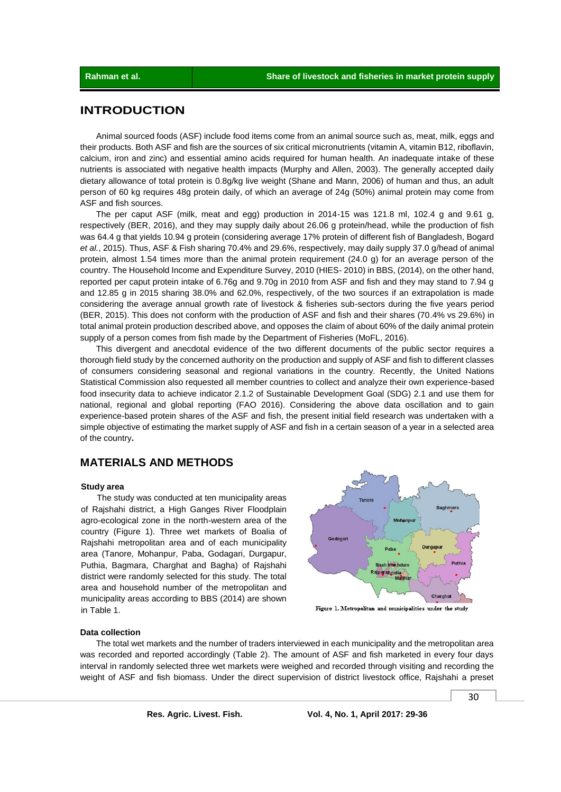# **INTRODUCTION**

Animal sourced foods (ASF) include food items come from an animal source such as, meat, milk, eggs and their products. Both ASF and fish are the sources of six critical micronutrients (vitamin A, vitamin B12, riboflavin, calcium, iron and zinc) and essential amino acids required for human health. An inadequate intake of these nutrients is associated with negative health impacts (Murphy and Allen, 2003). The generally accepted daily dietary allowance of total protein is 0.8g/kg live weight (Shane and Mann, 2006) of human and thus, an adult person of 60 kg requires 48g protein daily, of which an average of 24g (50%) animal protein may come from ASF and fish sources.

The per caput ASF (milk, meat and egg) production in 2014-15 was 121.8 ml, 102.4 g and 9.61 g, respectively (BER, 2016), and they may supply daily about 26.06 g protein/head, while the production of fish was 64.4 g that yields 10.94 g protein (considering average 17% protein of different fish of Bangladesh, Bogard *et al.*, 2015). Thus, ASF & Fish sharing 70.4% and 29.6%, respectively, may daily supply 37.0 g/head of animal protein, almost 1.54 times more than the animal protein requirement (24.0 g) for an average person of the country. The Household Income and Expenditure Survey, 2010 (HIES- 2010) in BBS, (2014), on the other hand, reported per caput protein intake of 6.76g and 9.70g in 2010 from ASF and fish and they may stand to 7.94 g and 12.85 g in 2015 sharing 38.0% and 62.0%, respectively, of the two sources if an extrapolation is made considering the average annual growth rate of livestock & fisheries sub-sectors during the five years period (BER, 2015). This does not conform with the production of ASF and fish and their shares (70.4% vs 29.6%) in total animal protein production described above, and opposes the claim of about 60% of the daily animal protein supply of a person comes from fish made by the Department of Fisheries (MoFL, 2016).

This divergent and anecdotal evidence of the two different documents of the public sector requires a thorough field study by the concerned authority on the production and supply of ASF and fish to different classes of consumers considering seasonal and regional variations in the country. Recently, the United Nations Statistical Commission also requested all member countries to collect and analyze their own experience-based food insecurity data to achieve indicator 2.1.2 of Sustainable Development Goal (SDG) 2.1 and use them for national, regional and global reporting (FAO 2016). Considering the above data oscillation and to gain experience-based protein shares of the ASF and fish, the present initial field research was undertaken with a simple objective of estimating the market supply of ASF and fish in a certain season of a year in a selected area of the country**.**

## **MATERIALS AND METHODS**

#### **Study area**

The study was conducted at ten municipality areas of Rajshahi district, a High Ganges River Floodplain agro-ecological zone in the north-western area of the country (Figure 1). Three wet markets of Boalia of Rajshahi metropolitan area and of each municipality area (Tanore, Mohanpur, Paba, Godagari, Durgapur, Puthia, Bagmara, Charghat and Bagha) of Rajshahi district were randomly selected for this study. The total area and household number of the metropolitan and municipality areas according to BBS (2014) are shown in Table 1.



Figure 1. Metropolitan and municipalities under the study

#### **Data collection**

The total wet markets and the number of traders interviewed in each municipality and the metropolitan area was recorded and reported accordingly (Table 2). The amount of ASF and fish marketed in every four days interval in randomly selected three wet markets were weighed and recorded through visiting and recording the weight of ASF and fish biomass. Under the direct supervision of district livestock office, Rajshahi a preset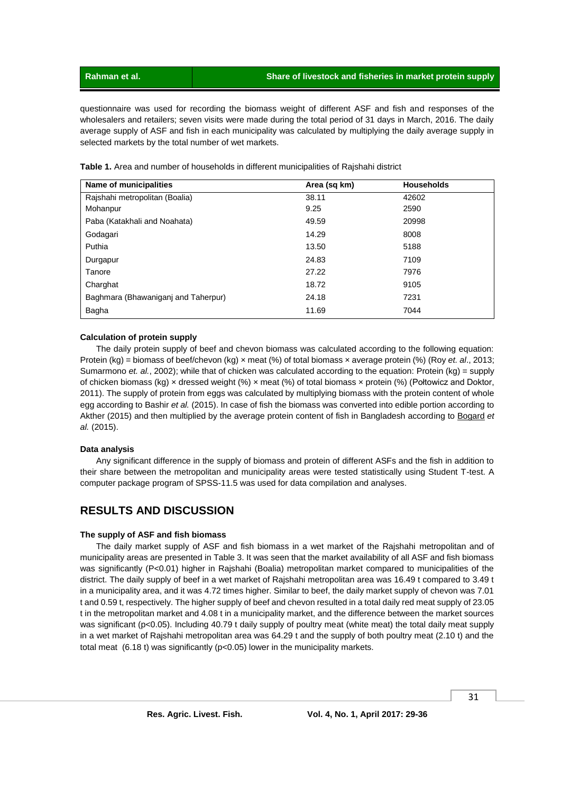questionnaire was used for recording the biomass weight of different ASF and fish and responses of the wholesalers and retailers; seven visits were made during the total period of 31 days in March, 2016. The daily average supply of ASF and fish in each municipality was calculated by multiplying the daily average supply in selected markets by the total number of wet markets.

| Name of municipalities              | Area (sq km) | <b>Households</b> |
|-------------------------------------|--------------|-------------------|
| Rajshahi metropolitan (Boalia)      | 38.11        | 42602             |
| Mohanpur                            | 9.25         | 2590              |
| Paba (Katakhali and Noahata)        | 49.59        | 20998             |
| Godagari                            | 14.29        | 8008              |
| Puthia                              | 13.50        | 5188              |
| Durgapur                            | 24.83        | 7109              |
| Tanore                              | 27.22        | 7976              |
| Charghat                            | 18.72        | 9105              |
| Baghmara (Bhawaniganj and Taherpur) | 24.18        | 7231              |
| Bagha                               | 11.69        | 7044              |

**Table 1.** Area and number of households in different municipalities of Rajshahi district

#### **Calculation of protein supply**

The daily protein supply of beef and chevon biomass was calculated according to the following equation: Protein (kg) = biomass of beef/chevon (kg) × meat (%) of total biomass × average protein (%) (Roy *et. al*., 2013; Sumarmono *et. al.*, 2002); while that of chicken was calculated according to the equation: Protein (kg) = supply of chicken biomass (kg)  $\times$  dressed weight (%)  $\times$  meat (%) of total biomass  $\times$  protein (%) (Połtowicz and Doktor, 2011). The supply of protein from eggs was calculated by multiplying biomass with the protein content of whole egg according to Bashir *et al.* (2015). In case of fish the biomass was converted into edible portion according to Akther (2015) and then multiplied by the average protein content of fish in Bangladesh according to [Bogard](http://www.sciencedirect.com/science/article/pii/S0889157515000976) *et al.* (2015).

#### **Data analysis**

Any significant difference in the supply of biomass and protein of different ASFs and the fish in addition to their share between the metropolitan and municipality areas were tested statistically using Student T-test. A computer package program of SPSS-11.5 was used for data compilation and analyses.

# **RESULTS AND DISCUSSION**

#### **The supply of ASF and fish biomass**

The daily market supply of ASF and fish biomass in a wet market of the Rajshahi metropolitan and of municipality areas are presented in Table 3. It was seen that the market availability of all ASF and fish biomass was significantly (P<0.01) higher in Rajshahi (Boalia) metropolitan market compared to municipalities of the district. The daily supply of beef in a wet market of Rajshahi metropolitan area was 16.49 t compared to 3.49 t in a municipality area, and it was 4.72 times higher. Similar to beef, the daily market supply of chevon was 7.01 t and 0.59 t, respectively. The higher supply of beef and chevon resulted in a total daily red meat supply of 23.05 t in the metropolitan market and 4.08 t in a municipality market, and the difference between the market sources was significant (p<0.05). Including 40.79 t daily supply of poultry meat (white meat) the total daily meat supply in a wet market of Rajshahi metropolitan area was 64.29 t and the supply of both poultry meat (2.10 t) and the total meat (6.18 t) was significantly (p<0.05) lower in the municipality markets.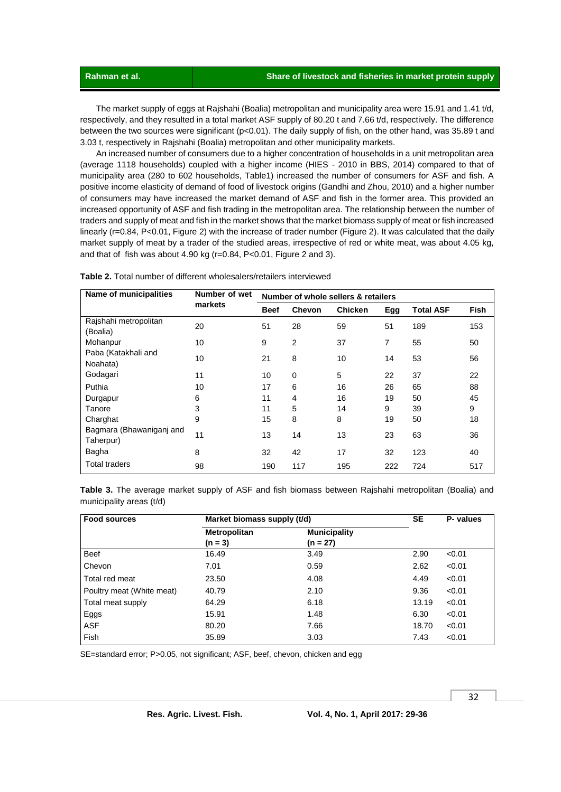The market supply of eggs at Rajshahi (Boalia) metropolitan and municipality area were 15.91 and 1.41 t/d, respectively, and they resulted in a total market ASF supply of 80.20 t and 7.66 t/d, respectively. The difference between the two sources were significant (p<0.01). The daily supply of fish, on the other hand, was 35.89 t and 3.03 t, respectively in Rajshahi (Boalia) metropolitan and other municipality markets.

An increased number of consumers due to a higher concentration of households in a unit metropolitan area (average 1118 households) coupled with a higher income (HIES - 2010 in BBS, 2014) compared to that of municipality area (280 to 602 households, Table1) increased the number of consumers for ASF and fish. A positive income elasticity of demand of food of livestock origins (Gandhi and Zhou, 2010) and a higher number of consumers may have increased the market demand of ASF and fish in the former area. This provided an increased opportunity of ASF and fish trading in the metropolitan area. The relationship between the number of traders and supply of meat and fish in the market shows that the market biomass supply of meat or fish increased linearly (r=0.84, P<0.01, Figure 2) with the increase of trader number (Figure 2). It was calculated that the daily market supply of meat by a trader of the studied areas, irrespective of red or white meat, was about 4.05 kg, and that of fish was about 4.90 kg (r=0.84, P<0.01, Figure 2 and 3).

**Table 2.** Total number of different wholesalers/retailers interviewed

| Name of municipalities                | Number of wet<br>markets | Number of whole sellers & retailers |             |                |     |                  |             |
|---------------------------------------|--------------------------|-------------------------------------|-------------|----------------|-----|------------------|-------------|
|                                       |                          | <b>Beef</b>                         | Chevon      | <b>Chicken</b> | Egg | <b>Total ASF</b> | <b>Fish</b> |
| Rajshahi metropolitan<br>(Boalia)     | 20                       | 51                                  | 28          | 59             | 51  | 189              | 153         |
| Mohanpur                              | 10                       | 9                                   | 2           | 37             | 7   | 55               | 50          |
| Paba (Katakhali and<br>Noahata)       | 10                       | 21                                  | 8           | 10             | 14  | 53               | 56          |
| Godagari                              | 11                       | 10                                  | $\mathbf 0$ | 5              | 22  | 37               | 22          |
| Puthia                                | 10                       | 17                                  | 6           | 16             | 26  | 65               | 88          |
| Durgapur                              | 6                        | 11                                  | 4           | 16             | 19  | 50               | 45          |
| Tanore                                | 3                        | 11                                  | 5           | 14             | 9   | 39               | 9           |
| Charghat                              | 9                        | 15                                  | 8           | 8              | 19  | 50               | 18          |
| Bagmara (Bhawaniganj and<br>Taherpur) | 11                       | 13                                  | 14          | 13             | 23  | 63               | 36          |
| Bagha                                 | 8                        | 32                                  | 42          | 17             | 32  | 123              | 40          |
| <b>Total traders</b>                  | 98                       | 190                                 | 117         | 195            | 222 | 724              | 517         |

**Table 3.** The average market supply of ASF and fish biomass between Rajshahi metropolitan (Boalia) and municipality areas (t/d)

| <b>Food sources</b>       | Market biomass supply (t/d) | <b>SE</b>           | P- values |        |
|---------------------------|-----------------------------|---------------------|-----------|--------|
|                           | Metropolitan                | <b>Municipality</b> |           |        |
|                           | $(n = 3)$                   | $(n = 27)$          |           |        |
| Beef                      | 16.49                       | 3.49                | 2.90      | < 0.01 |
| Chevon                    | 7.01                        | 0.59                | 2.62      | < 0.01 |
| Total red meat            | 23.50                       | 4.08                | 4.49      | < 0.01 |
| Poultry meat (White meat) | 40.79                       | 2.10                | 9.36      | < 0.01 |
| Total meat supply         | 64.29                       | 6.18                | 13.19     | < 0.01 |
| Eggs                      | 15.91                       | 1.48                | 6.30      | < 0.01 |
| <b>ASF</b>                | 80.20                       | 7.66                | 18.70     | < 0.01 |
| Fish                      | 35.89                       | 3.03                | 7.43      | < 0.01 |

SE=standard error; P>0.05, not significant; ASF, beef, chevon, chicken and egg

32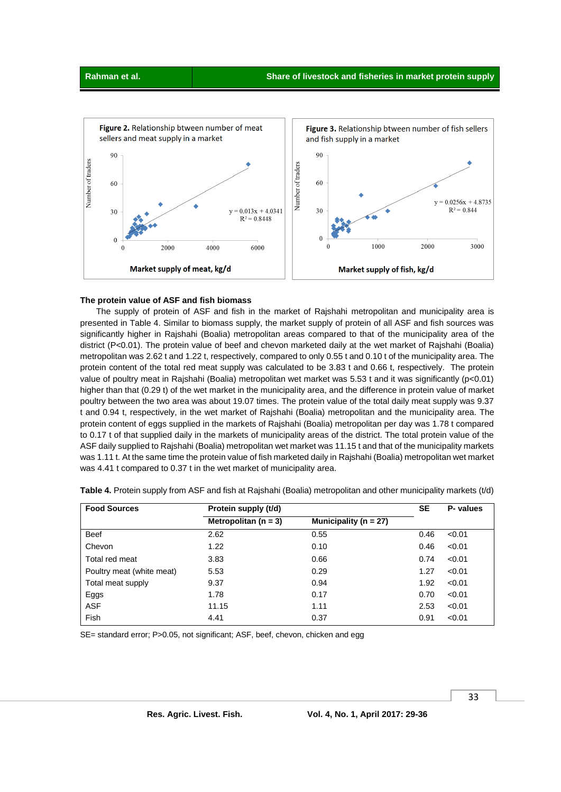

#### **The protein value of ASF and fish biomass**

The supply of protein of ASF and fish in the market of Rajshahi metropolitan and municipality area is presented in Table 4. Similar to biomass supply, the market supply of protein of all ASF and fish sources was significantly higher in Rajshahi (Boalia) metropolitan areas compared to that of the municipality area of the district (P<0.01). The protein value of beef and chevon marketed daily at the wet market of Rajshahi (Boalia) metropolitan was 2.62 t and 1.22 t, respectively, compared to only 0.55 t and 0.10 t of the municipality area. The protein content of the total red meat supply was calculated to be 3.83 t and 0.66 t, respectively. The protein value of poultry meat in Rajshahi (Boalia) metropolitan wet market was 5.53 t and it was significantly (p<0.01) higher than that (0.29 t) of the wet market in the municipality area, and the difference in protein value of market poultry between the two area was about 19.07 times. The protein value of the total daily meat supply was 9.37 t and 0.94 t, respectively, in the wet market of Rajshahi (Boalia) metropolitan and the municipality area. The protein content of eggs supplied in the markets of Rajshahi (Boalia) metropolitan per day was 1.78 t compared to 0.17 t of that supplied daily in the markets of municipality areas of the district. The total protein value of the ASF daily supplied to Rajshahi (Boalia) metropolitan wet market was 11.15 t and that of the municipality markets was 1.11 t. At the same time the protein value of fish marketed daily in Rajshahi (Boalia) metropolitan wet market was 4.41 t compared to 0.37 t in the wet market of municipality area.

| <b>Food Sources</b>       | Protein supply (t/d)     |                           |      | P- values |
|---------------------------|--------------------------|---------------------------|------|-----------|
|                           | Metropolitan ( $n = 3$ ) | Municipality ( $n = 27$ ) |      |           |
| Beef                      | 2.62                     | 0.55                      | 0.46 | < 0.01    |
| Chevon                    | 1.22                     | 0.10                      | 0.46 | < 0.01    |
| Total red meat            | 3.83                     | 0.66                      | 0.74 | < 0.01    |
| Poultry meat (white meat) | 5.53                     | 0.29                      | 1.27 | < 0.01    |
| Total meat supply         | 9.37                     | 0.94                      | 1.92 | < 0.01    |
| Eggs                      | 1.78                     | 0.17                      | 0.70 | < 0.01    |
| <b>ASF</b>                | 11.15                    | 1.11                      | 2.53 | < 0.01    |
| Fish                      | 4.41                     | 0.37                      | 0.91 | < 0.01    |

**Table 4.** Protein supply from ASF and fish at Rajshahi (Boalia) metropolitan and other municipality markets (t/d)

SE= standard error; P>0.05, not significant; ASF, beef, chevon, chicken and egg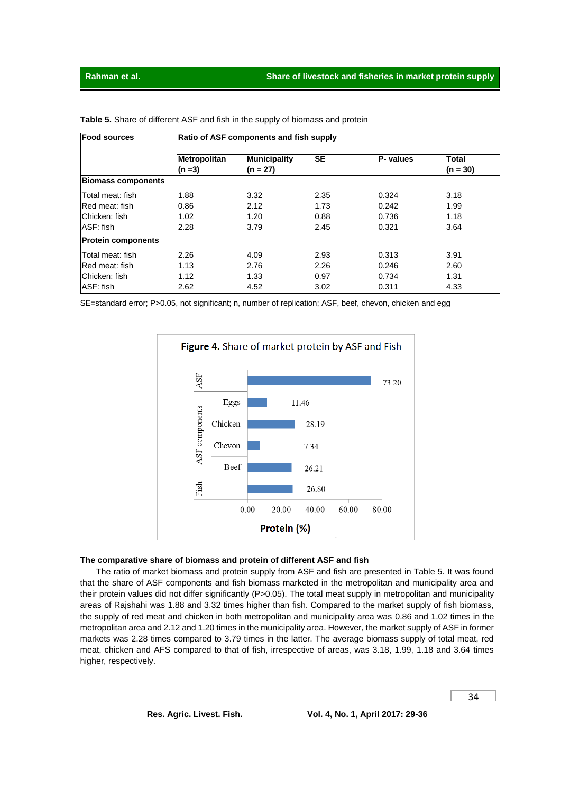| <b>Food sources</b>       |                         | Ratio of ASF components and fish supply |           |           |                     |  |  |
|---------------------------|-------------------------|-----------------------------------------|-----------|-----------|---------------------|--|--|
|                           | Metropolitan<br>$(n=3)$ | <b>Municipality</b><br>$(n = 27)$       | <b>SE</b> | P- values | Total<br>$(n = 30)$ |  |  |
| <b>Biomass components</b> |                         |                                         |           |           |                     |  |  |
| Total meat: fish          | 1.88                    | 3.32                                    | 2.35      | 0.324     | 3.18                |  |  |
| Red meat: fish            | 0.86                    | 2.12                                    | 1.73      | 0.242     | 1.99                |  |  |
| Chicken: fish             | 1.02                    | 1.20                                    | 0.88      | 0.736     | 1.18                |  |  |
| ASF: fish                 | 2.28                    | 3.79                                    | 2.45      | 0.321     | 3.64                |  |  |
| <b>Protein components</b> |                         |                                         |           |           |                     |  |  |
| Total meat: fish          | 2.26                    | 4.09                                    | 2.93      | 0.313     | 3.91                |  |  |
| lRed meat: fish           | 1.13                    | 2.76                                    | 2.26      | 0.246     | 2.60                |  |  |
| Chicken: fish             | 1.12                    | 1.33                                    | 0.97      | 0.734     | 1.31                |  |  |
| ASF: fish                 | 2.62                    | 4.52                                    | 3.02      | 0.311     | 4.33                |  |  |

**Table 5.** Share of different ASF and fish in the supply of biomass and protein

SE=standard error; P>0.05, not significant; n, number of replication; ASF, beef, chevon, chicken and egg



### **The comparative share of biomass and protein of different ASF and fish**

The ratio of market biomass and protein supply from ASF and fish are presented in Table 5. It was found that the share of ASF components and fish biomass marketed in the metropolitan and municipality area and their protein values did not differ significantly (P>0.05). The total meat supply in metropolitan and municipality areas of Rajshahi was 1.88 and 3.32 times higher than fish. Compared to the market supply of fish biomass, the supply of red meat and chicken in both metropolitan and municipality area was 0.86 and 1.02 times in the metropolitan area and 2.12 and 1.20 times in the municipality area. However, the market supply of ASF in former markets was 2.28 times compared to 3.79 times in the latter. The average biomass supply of total meat, red meat, chicken and AFS compared to that of fish, irrespective of areas, was 3.18, 1.99, 1.18 and 3.64 times higher, respectively.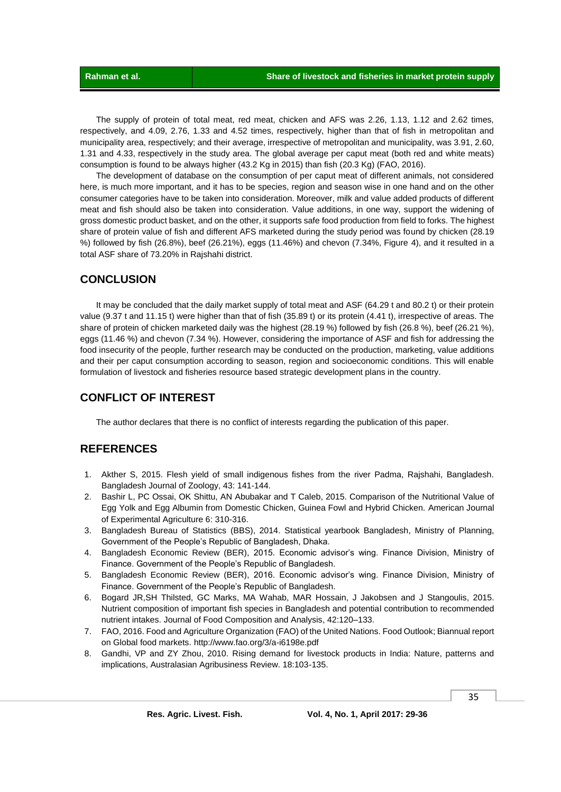The supply of protein of total meat, red meat, chicken and AFS was 2.26, 1.13, 1.12 and 2.62 times, respectively, and 4.09, 2.76, 1.33 and 4.52 times, respectively, higher than that of fish in metropolitan and municipality area, respectively; and their average, irrespective of metropolitan and municipality, was 3.91, 2.60, 1.31 and 4.33, respectively in the study area. The global average per caput meat (both red and white meats) consumption is found to be always higher (43.2 Kg in 2015) than fish (20.3 Kg) (FAO, 2016).

The development of database on the consumption of per caput meat of different animals, not considered here, is much more important, and it has to be species, region and season wise in one hand and on the other consumer categories have to be taken into consideration. Moreover, milk and value added products of different meat and fish should also be taken into consideration. Value additions, in one way, support the widening of gross domestic product basket, and on the other, it supports safe food production from field to forks. The highest share of protein value of fish and different AFS marketed during the study period was found by chicken (28.19 %) followed by fish (26.8%), beef (26.21%), eggs (11.46%) and chevon (7.34%, Figure 4), and it resulted in a total ASF share of 73.20% in Rajshahi district.

## **CONCLUSION**

It may be concluded that the daily market supply of total meat and ASF (64.29 t and 80.2 t) or their protein value (9.37 t and 11.15 t) were higher than that of fish (35.89 t) or its protein (4.41 t), irrespective of areas. The share of protein of chicken marketed daily was the highest (28.19 %) followed by fish (26.8 %), beef (26.21 %), eggs (11.46 %) and chevon (7.34 %). However, considering the importance of ASF and fish for addressing the food insecurity of the people, further research may be conducted on the production, marketing, value additions and their per caput consumption according to season, region and socioeconomic conditions. This will enable formulation of livestock and fisheries resource based strategic development plans in the country.

# **CONFLICT OF INTEREST**

The author declares that there is no conflict of interests regarding the publication of this paper.

## **REFERENCES**

- 1. Akther S, 2015. Flesh yield of small indigenous fishes from the river Padma, Rajshahi, Bangladesh. Bangladesh Journal of Zoology, 43: 141-144.
- 2. Bashir L, PC Ossai, OK Shittu, AN Abubakar and T Caleb, 2015. Comparison of the Nutritional Value of Egg Yolk and Egg Albumin from Domestic Chicken, Guinea Fowl and Hybrid Chicken. American Journal of Experimental Agriculture 6: 310-316.
- 3. Bangladesh Bureau of Statistics (BBS), 2014. Statistical yearbook Bangladesh, Ministry of Planning, Government of the People's Republic of Bangladesh, Dhaka.
- 4. Bangladesh Economic Review (BER), 2015. Economic advisor's wing. Finance Division, Ministry of Finance. Government of the People's Republic of Bangladesh.
- 5. Bangladesh Economic Review (BER), 2016. Economic advisor's wing. Finance Division, Ministry of Finance. Government of the People's Republic of Bangladesh.
- 6. Bogard [JR,SH Thilsted, GC Marks, MA Wahab, MAR Hossain, J Jakobsen](http://www.sciencedirect.com/science/article/pii/S0889157515000976) and [J Stangoulis,](http://www.sciencedirect.com/science/article/pii/S0889157515000976) 2015. Nutrient composition of important fish species in Bangladesh and potential contribution to recommended nutrient intakes[. Journal of Food Composition and Analysis,](http://www.sciencedirect.com/science/journal/08891575) 42:120–133.
- 7. FAO, 2016. Food and Agriculture Organization (FAO) of the United Nations. Food Outlook; Biannual report on Global food markets[. http://www.fao.org/3/a-i6198e.pdf](http://www.fao.org/3/a-i6198e.pdf)
- 8. Gandhi, VP and ZY Zhou, 2010. Rising demand for livestock products in India: Nature, patterns and implications, Australasian Agribusiness Review. 18:103-135.

35